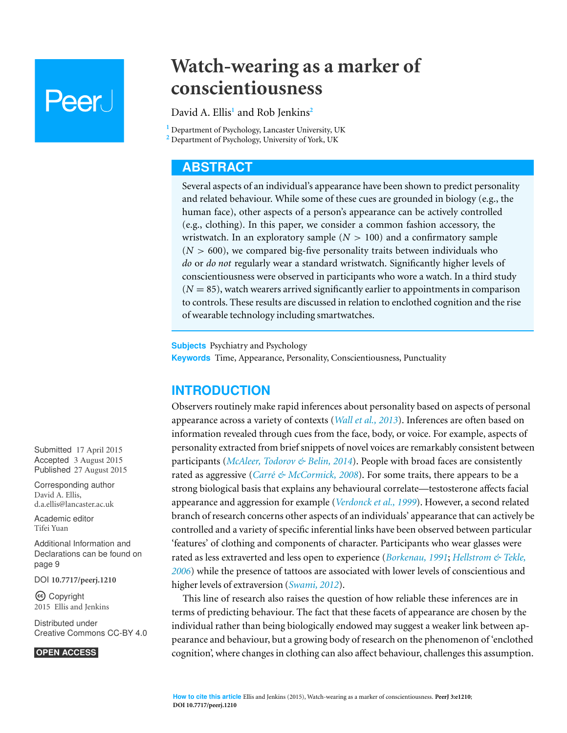# Peer I

# **Watch-wearing as a marker of conscientiousness**

David A. Ellis**<sup>1</sup>** and Rob Jenkins**<sup>2</sup>**

**<sup>1</sup>** Department of Psychology, Lancaster University, UK

**<sup>2</sup>** Department of Psychology, University of York, UK

# **ABSTRACT**

Several aspects of an individual's appearance have been shown to predict personality and related behaviour. While some of these cues are grounded in biology (e.g., the human face), other aspects of a person's appearance can be actively controlled (e.g., clothing). In this paper, we consider a common fashion accessory, the wristwatch. In an exploratory sample  $(N > 100)$  and a confirmatory sample  $(N > 600)$ , we compared big-five personality traits between individuals who *do* or *do not* regularly wear a standard wristwatch. Significantly higher levels of conscientiousness were observed in participants who wore a watch. In a third study  $(N = 85)$ , watch wearers arrived significantly earlier to appointments in comparison to controls. These results are discussed in relation to enclothed cognition and the rise of wearable technology including smartwatches.

**Subjects** Psychiatry and Psychology **Keywords** Time, Appearance, Personality, Conscientiousness, Punctuality

# **INTRODUCTION**

Observers routinely make rapid inferences about personality based on aspects of personal appearance across a variety of contexts (*[Wall](#page-10-0) [et](#page-10-0) [al.,](#page-10-0) [2013](#page-10-0)*). Inferences are often based on information revealed through cues from the face, body, or voice. For example, aspects of personality extracted from brief snippets of novel voices are remarkably consistent between participants (*[McAleer,](#page-10-1) [Todorov](#page-10-1) [&](#page-10-1) [Belin,](#page-10-1) [2014](#page-10-1)*). People with broad faces are consistently rated as aggressive (*Carré* [&](#page-9-0) *McCormick*, [2008](#page-9-0)). For some traits, there appears to be a strong biological basis that explains any behavioural correlate—testosterone affects facial appearance and aggression for example (*[Verdonck](#page-10-2) [et](#page-10-2) [al.,](#page-10-2) [1999](#page-10-2)*). However, a second related branch of research concerns other aspects of an individuals' appearance that can actively be controlled and a variety of specific inferential links have been observed between particular 'features' of clothing and components of character. Participants who wear glasses were rated as less extraverted and less open to experience (*[Borkenau,](#page-9-1) [1991](#page-9-1)*; *[Hellstrom](#page-9-2) [&](#page-9-2) [Tekle,](#page-9-2) [2006](#page-9-2)*) while the presence of tattoos are associated with lower levels of conscientious and higher levels of extraversion (*[Swami,](#page-10-3) [2012](#page-10-3)*).

This line of research also raises the question of how reliable these inferences are in terms of predicting behaviour. The fact that these facets of appearance are chosen by the individual rather than being biologically endowed may suggest a weaker link between appearance and behaviour, but a growing body of research on the phenomenon of 'enclothed cognition', where changes in clothing can also affect behaviour, challenges this assumption.

Submitted 17 April 2015 Accepted 3 August 2015 Published 27 August 2015

Corresponding author David A. Ellis, [d.a.ellis@lancaster.ac.uk](mailto:d.a.ellis@lancaster.ac.uk)

[Academic editor](https://peerj.com/academic-boards/editors/) [Tifei Yuan](https://peerj.com/academic-boards/editors/)

[Additional Information and](#page-8-0) [Declarations can be found on](#page-8-0) [page 9](#page-8-0)

[DOI](http://dx.doi.org/10.7717/peerj.1210) **[10.7717/peerj.1210](http://dx.doi.org/10.7717/peerj.1210)**

Copyright 2015 Ellis and Jenkins

[Distributed under](http://creativecommons.org/licenses/by/4.0/) [Creative Commons CC-BY 4.0](http://creativecommons.org/licenses/by/4.0/)

#### **OPEN ACCESS**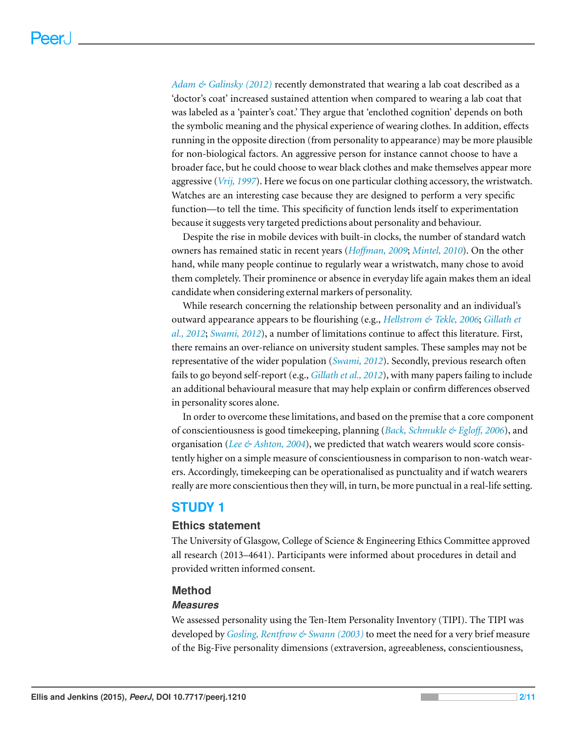*[Adam](#page-9-3) [&](#page-9-3) [Galinsky](#page-9-3) [\(2012\)](#page-9-3)* recently demonstrated that wearing a lab coat described as a 'doctor's coat' increased sustained attention when compared to wearing a lab coat that was labeled as a 'painter's coat.' They argue that 'enclothed cognition' depends on both the symbolic meaning and the physical experience of wearing clothes. In addition, effects running in the opposite direction (from personality to appearance) may be more plausible for non-biological factors. An aggressive person for instance cannot choose to have a broader face, but he could choose to wear black clothes and make themselves appear more aggressive (*[Vrij,](#page-10-4) [1997](#page-10-4)*). Here we focus on one particular clothing accessory, the wristwatch. Watches are an interesting case because they are designed to perform a very specific function—to tell the time. This specificity of function lends itself to experimentation because it suggests very targeted predictions about personality and behaviour.

Despite the rise in mobile devices with built-in clocks, the number of standard watch owners has remained static in recent years (*Hoff[man,](#page-9-4) [2009](#page-9-4)*; *[Mintel,](#page-10-5) [2010](#page-10-5)*). On the other hand, while many people continue to regularly wear a wristwatch, many chose to avoid them completely. Their prominence or absence in everyday life again makes them an ideal candidate when considering external markers of personality.

While research concerning the relationship between personality and an individual's outward appearance appears to be flourishing (e.g., *[Hellstrom](#page-9-2) [&](#page-9-2) [Tekle,](#page-9-2) [2006](#page-9-2)*; *[Gillath](#page-9-5) [et](#page-9-5) [al.,](#page-9-5) [2012](#page-9-5)*; *[Swami,](#page-10-3) [2012](#page-10-3)*), a number of limitations continue to affect this literature. First, there remains an over-reliance on university student samples. These samples may not be representative of the wider population (*[Swami,](#page-10-3) [2012](#page-10-3)*). Secondly, previous research often fails to go beyond self-report (e.g., *[Gillath](#page-9-5) [et](#page-9-5) [al.,](#page-9-5) [2012](#page-9-5)*), with many papers failing to include an additional behavioural measure that may help explain or confirm differences observed in personality scores alone.

In order to overcome these limitations, and based on the premise that a core component of conscientiousness is good timekeeping, planning (*[Back,](#page-9-6) [Schmukle](#page-9-6) [&](#page-9-6) [Eglo](#page-9-6)ff, [2006](#page-9-6)*), and organisation (*[Lee](#page-9-7) [&](#page-9-7) [Ashton,](#page-9-7) [2004](#page-9-7)*), we predicted that watch wearers would score consistently higher on a simple measure of conscientiousness in comparison to non-watch wearers. Accordingly, timekeeping can be operationalised as punctuality and if watch wearers really are more conscientious then they will, in turn, be more punctual in a real-life setting.

# **STUDY 1**

#### **Ethics statement**

The University of Glasgow, College of Science & Engineering Ethics Committee approved all research (2013–4641). Participants were informed about procedures in detail and provided written informed consent.

#### **Method**

#### *Measures*

We assessed personality using the Ten-Item Personality Inventory (TIPI). The TIPI was developed by *[Gosling,](#page-9-8) [Rentfrow](#page-9-8) [&](#page-9-8) [Swann](#page-9-8) [\(2003\)](#page-9-8)* to meet the need for a very brief measure of the Big-Five personality dimensions (extraversion, agreeableness, conscientiousness,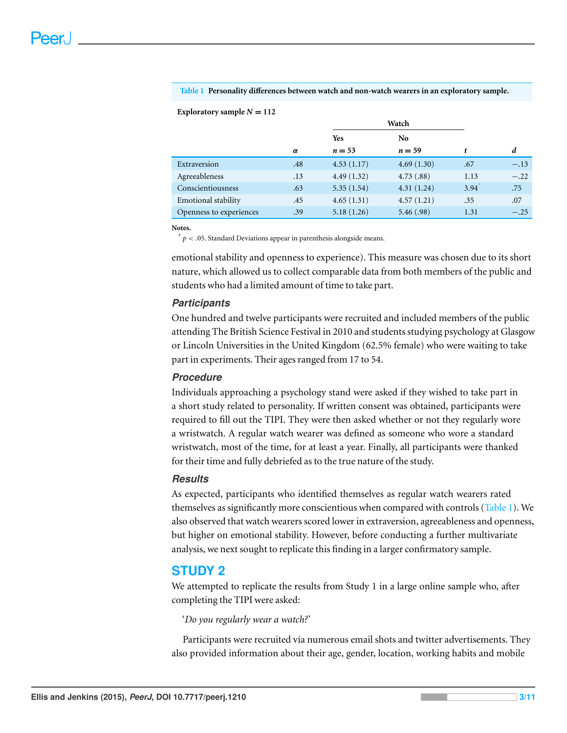#### <span id="page-2-1"></span>**Table 1 Personality differences between watch and non-watch wearers in an exploratory sample.**

#### Exploratory sample  $N = 112$

|                         |     | Watch      |                |                     |        |
|-------------------------|-----|------------|----------------|---------------------|--------|
|                         |     | <b>Yes</b> | N <sub>0</sub> |                     |        |
|                         | α   | $n = 53$   | $n = 59$       | t                   | d      |
| Extraversion            | .48 | 4.53(1.17) | 4.69(1.30)     | .67                 | $-.13$ |
| Agreeableness           | .13 | 4.49(1.32) | 4.73(.88)      | 1.13                | $-.22$ |
| Conscientiousness       | .63 | 5.35(1.54) | 4.31(1.24)     | $3.94$ <sup>*</sup> | .75    |
| Emotional stability     | .45 | 4.65(1.31) | 4.57(1.21)     | .35                 | .07    |
| Openness to experiences | .39 | 5.18(1.26) | 5.46(.98)      | 1.31                | $-.25$ |

**Notes.**

<span id="page-2-0"></span> $p < 0.05$ . Standard Deviations appear in parenthesis alongside means.

emotional stability and openness to experience). This measure was chosen due to its short nature, which allowed us to collect comparable data from both members of the public and students who had a limited amount of time to take part.

#### *Participants*

One hundred and twelve participants were recruited and included members of the public attending The British Science Festival in 2010 and students studying psychology at Glasgow or Lincoln Universities in the United Kingdom (62.5% female) who were waiting to take part in experiments. Their ages ranged from 17 to 54.

#### *Procedure*

Individuals approaching a psychology stand were asked if they wished to take part in a short study related to personality. If written consent was obtained, participants were required to fill out the TIPI. They were then asked whether or not they regularly wore a wristwatch. A regular watch wearer was defined as someone who wore a standard wristwatch, most of the time, for at least a year. Finally, all participants were thanked for their time and fully debriefed as to the true nature of the study.

#### *Results*

As expected, participants who identified themselves as regular watch wearers rated themselves as significantly more conscientious when compared with controls [\(Table 1\)](#page-2-1). We also observed that watch wearers scored lower in extraversion, agreeableness and openness, but higher on emotional stability. However, before conducting a further multivariate analysis, we next sought to replicate this finding in a larger confirmatory sample.

#### **STUDY 2**

We attempted to replicate the results from Study 1 in a large online sample who, after completing the TIPI were asked:

'*Do you regularly wear a watch?*'

Participants were recruited via numerous email shots and twitter advertisements. They also provided information about their age, gender, location, working habits and mobile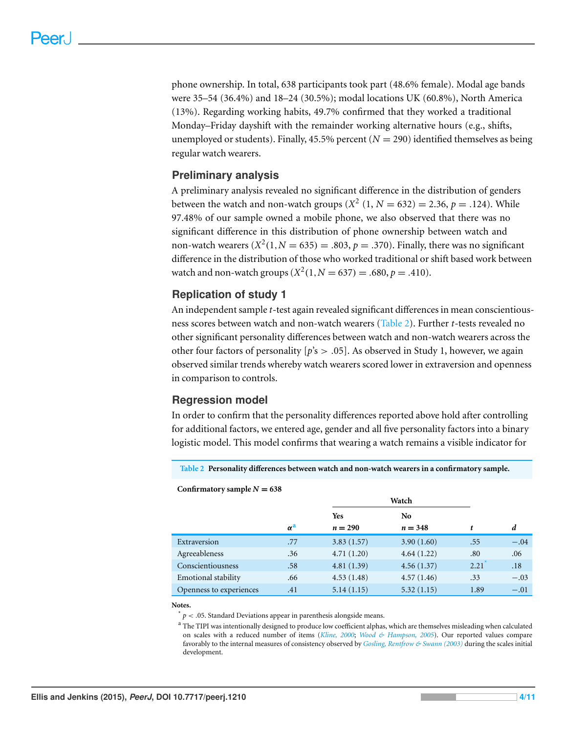phone ownership. In total, 638 participants took part (48.6% female). Modal age bands were 35–54 (36.4%) and 18–24 (30.5%); modal locations UK (60.8%), North America (13%). Regarding working habits, 49.7% confirmed that they worked a traditional Monday–Friday dayshift with the remainder working alternative hours (e.g., shifts, unemployed or students). Finally,  $45.5\%$  percent ( $N = 290$ ) identified themselves as being regular watch wearers.

#### **Preliminary analysis**

A preliminary analysis revealed no significant difference in the distribution of genders between the watch and non-watch groups  $(X^2 (1, N = 632) = 2.36, p = .124)$ . While 97.48% of our sample owned a mobile phone, we also observed that there was no significant difference in this distribution of phone ownership between watch and non-watch wearers  $(X^2(1, N = 635) = .803, p = .370)$ . Finally, there was no significant difference in the distribution of those who worked traditional or shift based work between watch and non-watch groups  $(X^2(1, N = 637) = .680, p = .410)$ .

#### **Replication of study 1**

An independent sample *t*-test again revealed significant differences in mean conscientiousness scores between watch and non-watch wearers [\(Table 2\)](#page-3-0). Further *t*-tests revealed no other significant personality differences between watch and non-watch wearers across the other four factors of personality  $[p]$ 's  $> .05$ ]. As observed in Study 1, however, we again observed similar trends whereby watch wearers scored lower in extraversion and openness in comparison to controls.

#### **Regression model**

In order to confirm that the personality differences reported above hold after controlling for additional factors, we entered age, gender and all five personality factors into a binary logistic model. This model confirms that wearing a watch remains a visible indicator for

<span id="page-3-0"></span>**Table 2 Personality differences between watch and non-watch wearers in a confirmatory sample.**

#### Confirmatory sample  $N = 638$

|                         |                       | Watch      |                |      |        |
|-------------------------|-----------------------|------------|----------------|------|--------|
|                         |                       | <b>Yes</b> | N <sub>0</sub> |      |        |
|                         | $\alpha^{\mathbf{a}}$ | $n = 290$  | $n = 348$      | t    | d      |
| Extraversion            | .77                   | 3.83(1.57) | 3.90(1.60)     | .55  | $-.04$ |
| Agreeableness           | .36                   | 4.71(1.20) | 4.64(1.22)     | .80  | .06    |
| Conscientiousness       | .58                   | 4.81(1.39) | 4.56(1.37)     | 2.21 | .18    |
| Emotional stability     | .66                   | 4.53(1.48) | 4.57(1.46)     | .33  | $-.03$ |
| Openness to experiences | .41                   | 5.14(1.15) | 5.32(1.15)     | 1.89 | $-.01$ |

**Notes.**

<span id="page-3-2"></span> $p < 0.05$ . Standard Deviations appear in parenthesis alongside means.

<span id="page-3-1"></span><sup>a</sup> The TIPI was intentionally designed to produce low coefficient alphas, which are themselves misleading when calculated on scales with a reduced number of items (*[Kline, 2000](#page-9-9)*; *[Wood & Hampson, 2005](#page-10-6)*). Our reported values compare favorably to the internal measures of consistency observed by *[Gosling, Rentfrow & Swann \(2003\)](#page-9-8)* during the scales initial development.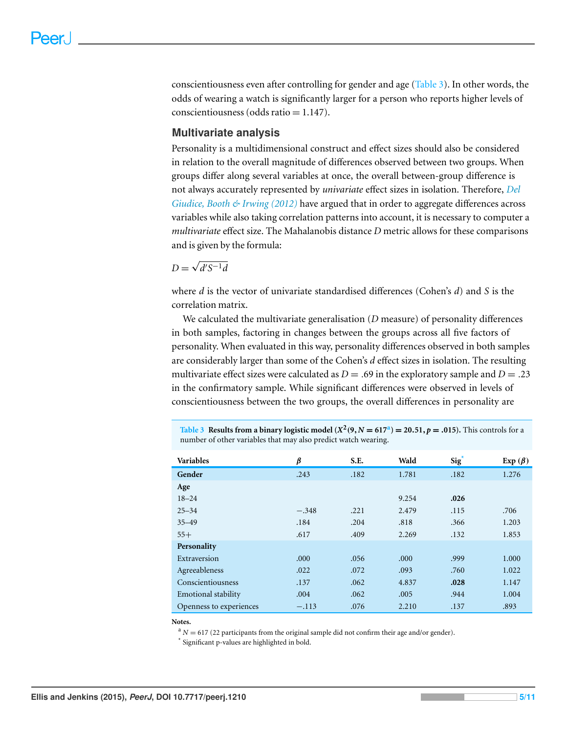conscientiousness even after controlling for gender and age [\(Table 3\)](#page-4-0). In other words, the odds of wearing a watch is significantly larger for a person who reports higher levels of conscientiousness (odds ratio  $= 1.147$ ).

#### **Multivariate analysis**

Personality is a multidimensional construct and effect sizes should also be considered in relation to the overall magnitude of differences observed between two groups. When groups differ along several variables at once, the overall between-group difference is not always accurately represented by *univariate* effect sizes in isolation. Therefore, *[Del](#page-9-10) [Giudice,](#page-9-10) [Booth](#page-9-10) [&](#page-9-10) [Irwing](#page-9-10) [\(2012\)](#page-9-10)* have argued that in order to aggregate differences across variables while also taking correlation patterns into account, it is necessary to computer a *multivariate* effect size. The Mahalanobis distance *D* metric allows for these comparisons and is given by the formula:

$$
D = \sqrt{d'S^{-1}d}
$$

where *d* is the vector of univariate standardised differences (Cohen's *d*) and *S* is the correlation matrix.

We calculated the multivariate generalisation (*D* measure) of personality differences in both samples, factoring in changes between the groups across all five factors of personality. When evaluated in this way, personality differences observed in both samples are considerably larger than some of the Cohen's *d* effect sizes in isolation. The resulting multivariate effect sizes were calculated as  $D = .69$  in the exploratory sample and  $D = .23$ in the confirmatory sample. While significant differences were observed in levels of conscientiousness between the two groups, the overall differences in personality are

<span id="page-4-0"></span>**T[a](#page-4-1)ble 3** Results from a binary logistic model  $(X^2(9, N = 617^a)) = 20.51, p = .015)$ . This controls for a number of other variables that may also predict watch wearing.

| <b>Variables</b>           | β       | S.E. | Wald  | Sig <sup>*</sup> | Exp $(\beta)$ |
|----------------------------|---------|------|-------|------------------|---------------|
| Gender                     | .243    | .182 | 1.781 | .182             | 1.276         |
| Age                        |         |      |       |                  |               |
| $18 - 24$                  |         |      | 9.254 | .026             |               |
| $25 - 34$                  | $-.348$ | .221 | 2.479 | .115             | .706          |
| $35 - 49$                  | .184    | .204 | .818  | .366             | 1.203         |
| $55+$                      | .617    | .409 | 2.269 | .132             | 1.853         |
| Personality                |         |      |       |                  |               |
| Extraversion               | .000    | .056 | .000  | .999             | 1.000         |
| Agreeableness              | .022    | .072 | .093  | .760             | 1.022         |
| Conscientiousness          | .137    | .062 | 4.837 | .028             | 1.147         |
| <b>Emotional stability</b> | .004    | .062 | .005  | .944             | 1.004         |
| Openness to experiences    | $-.113$ | .076 | 2.210 | .137             | .893          |

**Notes.**

<span id="page-4-1"></span> $A^a$  *N* = 617 (22 participants from the original sample did not confirm their age and/or gender).

<span id="page-4-2"></span>\* Significant p-values are highlighted in bold.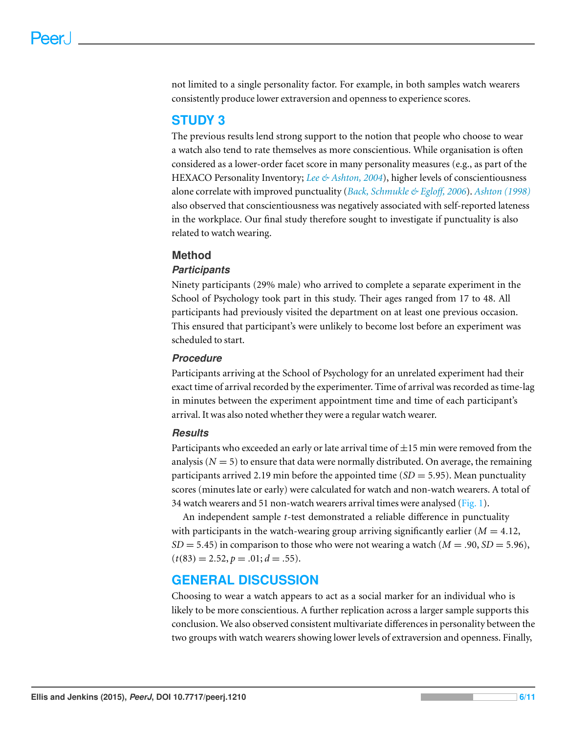not limited to a single personality factor. For example, in both samples watch wearers consistently produce lower extraversion and openness to experience scores.

## **STUDY 3**

The previous results lend strong support to the notion that people who choose to wear a watch also tend to rate themselves as more conscientious. While organisation is often considered as a lower-order facet score in many personality measures (e.g., as part of the HEXACO Personality Inventory; *[Lee](#page-9-7) [&](#page-9-7) [Ashton,](#page-9-7) [2004](#page-9-7)*), higher levels of conscientiousness alone correlate with improved punctuality (*[Back,](#page-9-6) [Schmukle](#page-9-6) [&](#page-9-6) [Eglo](#page-9-6)ff, [2006](#page-9-6)*). *[Ashton](#page-9-11) [\(1998\)](#page-9-11)* also observed that conscientiousness was negatively associated with self-reported lateness in the workplace. Our final study therefore sought to investigate if punctuality is also related to watch wearing.

#### **Method**

#### *Participants*

Ninety participants (29% male) who arrived to complete a separate experiment in the School of Psychology took part in this study. Their ages ranged from 17 to 48. All participants had previously visited the department on at least one previous occasion. This ensured that participant's were unlikely to become lost before an experiment was scheduled to start.

#### *Procedure*

Participants arriving at the School of Psychology for an unrelated experiment had their exact time of arrival recorded by the experimenter. Time of arrival was recorded as time-lag in minutes between the experiment appointment time and time of each participant's arrival. It was also noted whether they were a regular watch wearer.

#### *Results*

Participants who exceeded an early or late arrival time of  $\pm 15$  min were removed from the analysis ( $N = 5$ ) to ensure that data were normally distributed. On average, the remaining participants arrived 2.19 min before the appointed time (*SD* = 5.95). Mean punctuality scores (minutes late or early) were calculated for watch and non-watch wearers. A total of 34 watch wearers and 51 non-watch wearers arrival times were analysed [\(Fig. 1\)](#page-6-0).

An independent sample *t*-test demonstrated a reliable difference in punctuality with participants in the watch-wearing group arriving significantly earlier  $(M = 4.12)$ ,  $SD = 5.45$ ) in comparison to those who were not wearing a watch ( $M = .90$ ,  $SD = 5.96$ ),  $(t(83) = 2.52, p = .01; d = .55).$ 

## **GENERAL DISCUSSION**

Choosing to wear a watch appears to act as a social marker for an individual who is likely to be more conscientious. A further replication across a larger sample supports this conclusion. We also observed consistent multivariate differences in personality between the two groups with watch wearers showing lower levels of extraversion and openness. Finally,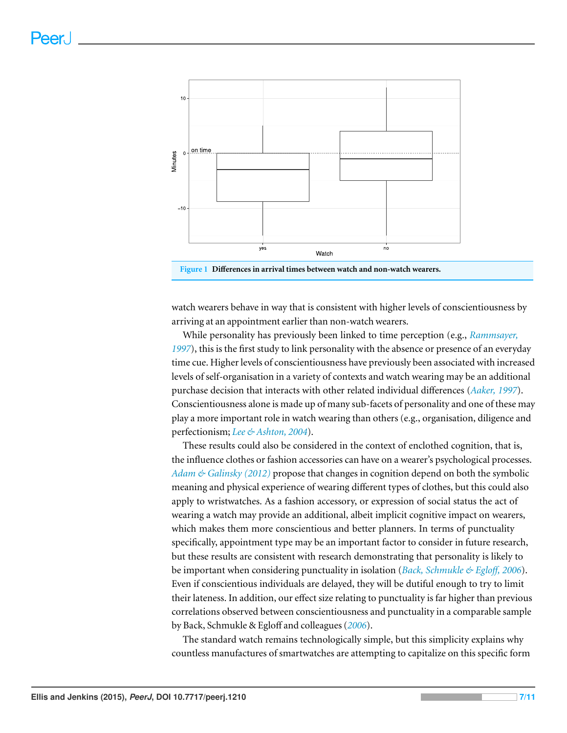<span id="page-6-0"></span>

watch wearers behave in way that is consistent with higher levels of conscientiousness by arriving at an appointment earlier than non-watch wearers.

While personality has previously been linked to time perception (e.g., *[Rammsayer,](#page-10-7) [1997](#page-10-7)*), this is the first study to link personality with the absence or presence of an everyday time cue. Higher levels of conscientiousness have previously been associated with increased levels of self-organisation in a variety of contexts and watch wearing may be an additional purchase decision that interacts with other related individual differences (*[Aaker,](#page-9-12) [1997](#page-9-12)*). Conscientiousness alone is made up of many sub-facets of personality and one of these may play a more important role in watch wearing than others (e.g., organisation, diligence and perfectionism; *[Lee](#page-9-7) [&](#page-9-7) [Ashton,](#page-9-7) [2004](#page-9-7)*).

These results could also be considered in the context of enclothed cognition, that is, the influence clothes or fashion accessories can have on a wearer's psychological processes. *[Adam](#page-9-3) [&](#page-9-3) [Galinsky](#page-9-3) [\(2012\)](#page-9-3)* propose that changes in cognition depend on both the symbolic meaning and physical experience of wearing different types of clothes, but this could also apply to wristwatches. As a fashion accessory, or expression of social status the act of wearing a watch may provide an additional, albeit implicit cognitive impact on wearers, which makes them more conscientious and better planners. In terms of punctuality specifically, appointment type may be an important factor to consider in future research, but these results are consistent with research demonstrating that personality is likely to be important when considering punctuality in isolation (*[Back,](#page-9-6) [Schmukle](#page-9-6) [&](#page-9-6) [Eglo](#page-9-6)ff, [2006](#page-9-6)*). Even if conscientious individuals are delayed, they will be dutiful enough to try to limit their lateness. In addition, our effect size relating to punctuality is far higher than previous correlations observed between conscientiousness and punctuality in a comparable sample by Back, Schmukle & Egloff and colleagues (*[2006](#page-9-6)*).

The standard watch remains technologically simple, but this simplicity explains why countless manufactures of smartwatches are attempting to capitalize on this specific form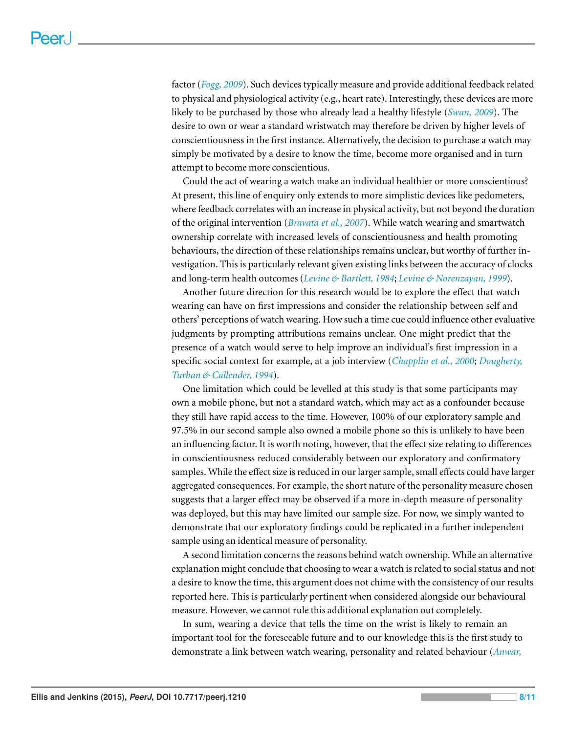factor (*[Fogg,](#page-9-13) [2009](#page-9-13)*). Such devices typically measure and provide additional feedback related to physical and physiological activity (e.g., heart rate). Interestingly, these devices are more likely to be purchased by those who already lead a healthy lifestyle (*[Swan,](#page-10-8) [2009](#page-10-8)*). The desire to own or wear a standard wristwatch may therefore be driven by higher levels of conscientiousness in the first instance. Alternatively, the decision to purchase a watch may simply be motivated by a desire to know the time, become more organised and in turn attempt to become more conscientious.

Could the act of wearing a watch make an individual healthier or more conscientious? At present, this line of enquiry only extends to more simplistic devices like pedometers, where feedback correlates with an increase in physical activity, but not beyond the duration of the original intervention (*[Bravata](#page-9-14) [et](#page-9-14) [al.,](#page-9-14) [2007](#page-9-14)*). While watch wearing and smartwatch ownership correlate with increased levels of conscientiousness and health promoting behaviours, the direction of these relationships remains unclear, but worthy of further investigation. This is particularly relevant given existing links between the accuracy of clocks and long-term health outcomes (*[Levine](#page-9-15) [&](#page-9-15) [Bartlett,](#page-9-15) [1984](#page-9-15)*; *[Levine](#page-10-9) [&](#page-10-9) [Norenzayan,](#page-10-9) [1999](#page-10-9)*).

Another future direction for this research would be to explore the effect that watch wearing can have on first impressions and consider the relationship between self and others' perceptions of watch wearing. How such a time cue could influence other evaluative judgments by prompting attributions remains unclear. One might predict that the presence of a watch would serve to help improve an individual's first impression in a specific social context for example, at a job interview (*[Chapplin](#page-9-16) [et](#page-9-16) [al.,](#page-9-16) [2000](#page-9-16)*; *[Dougherty,](#page-9-17) [Turban](#page-9-17) [&](#page-9-17) [Callender,](#page-9-17) [1994](#page-9-17)*).

One limitation which could be levelled at this study is that some participants may own a mobile phone, but not a standard watch, which may act as a confounder because they still have rapid access to the time. However, 100% of our exploratory sample and 97.5% in our second sample also owned a mobile phone so this is unlikely to have been an influencing factor. It is worth noting, however, that the effect size relating to differences in conscientiousness reduced considerably between our exploratory and confirmatory samples. While the effect size is reduced in our larger sample, small effects could have larger aggregated consequences. For example, the short nature of the personality measure chosen suggests that a larger effect may be observed if a more in-depth measure of personality was deployed, but this may have limited our sample size. For now, we simply wanted to demonstrate that our exploratory findings could be replicated in a further independent sample using an identical measure of personality.

A second limitation concerns the reasons behind watch ownership. While an alternative explanation might conclude that choosing to wear a watch is related to social status and not a desire to know the time, this argument does not chime with the consistency of our results reported here. This is particularly pertinent when considered alongside our behavioural measure. However, we cannot rule this additional explanation out completely.

In sum, wearing a device that tells the time on the wrist is likely to remain an important tool for the foreseeable future and to our knowledge this is the first study to demonstrate a link between watch wearing, personality and related behaviour (*[Anwar,](#page-9-18)*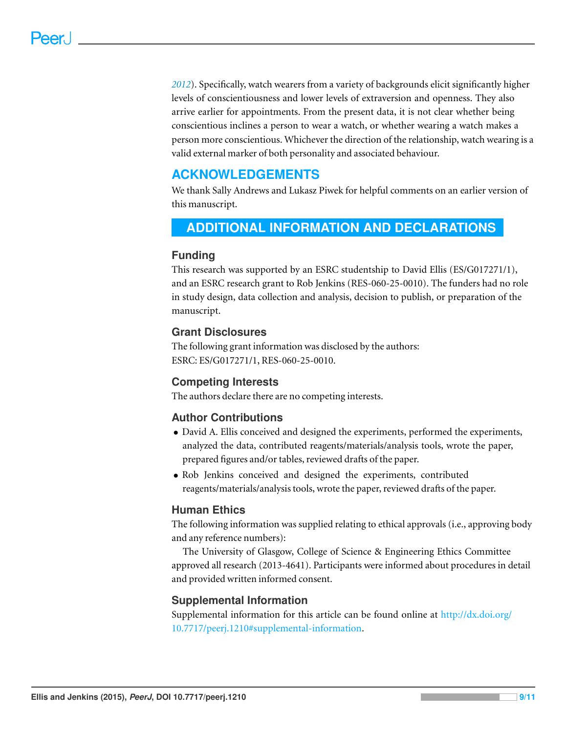*[2012](#page-9-18)*). Specifically, watch wearers from a variety of backgrounds elicit significantly higher levels of conscientiousness and lower levels of extraversion and openness. They also arrive earlier for appointments. From the present data, it is not clear whether being conscientious inclines a person to wear a watch, or whether wearing a watch makes a person more conscientious. Whichever the direction of the relationship, watch wearing is a valid external marker of both personality and associated behaviour.

# **ACKNOWLEDGEMENTS**

We thank Sally Andrews and Lukasz Piwek for helpful comments on an earlier version of this manuscript.

# <span id="page-8-0"></span>**ADDITIONAL INFORMATION AND DECLARATIONS**

#### **Funding**

This research was supported by an ESRC studentship to David Ellis (ES/G017271/1), and an ESRC research grant to Rob Jenkins (RES-060-25-0010). The funders had no role in study design, data collection and analysis, decision to publish, or preparation of the manuscript.

#### **Grant Disclosures**

The following grant information was disclosed by the authors: ESRC: ES/G017271/1, RES-060-25-0010.

#### **Competing Interests**

The authors declare there are no competing interests.

#### **Author Contributions**

- David A. Ellis conceived and designed the experiments, performed the experiments, analyzed the data, contributed reagents/materials/analysis tools, wrote the paper, prepared figures and/or tables, reviewed drafts of the paper.
- Rob Jenkins conceived and designed the experiments, contributed reagents/materials/analysis tools, wrote the paper, reviewed drafts of the paper.

#### **Human Ethics**

The following information was supplied relating to ethical approvals (i.e., approving body and any reference numbers):

The University of Glasgow, College of Science & Engineering Ethics Committee approved all research (2013-4641). Participants were informed about procedures in detail and provided written informed consent.

#### **Supplemental Information**

Supplemental information for this article can be found online at [http://dx.doi.org/](http://dx.doi.org/10.7717/peerj.1210#supplemental-information) [10.7717/peerj.1210#supplemental-information.](http://dx.doi.org/10.7717/peerj.1210#supplemental-information)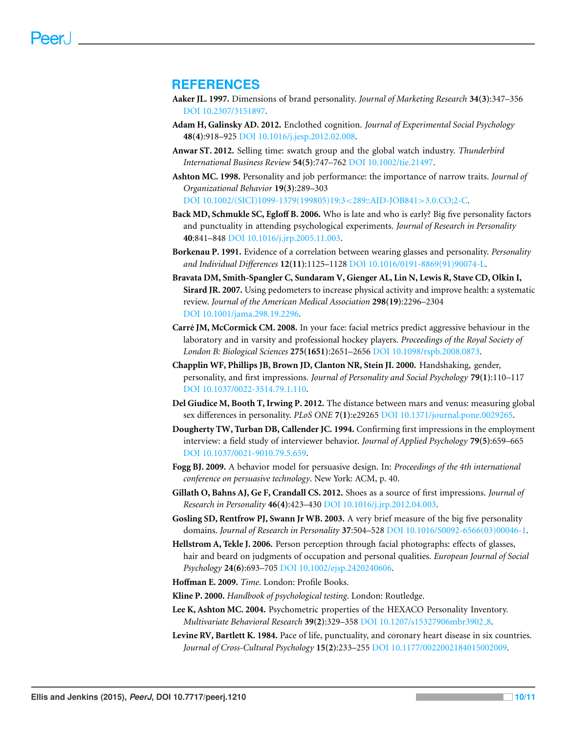#### **REFERENCES**

- <span id="page-9-12"></span>**Aaker JL. 1997.** Dimensions of brand personality. *Journal of Marketing Research* **34(3)**:347–356 DOI [10.2307/3151897.](http://dx.doi.org/10.2307/3151897)
- <span id="page-9-3"></span>**Adam H, Galinsky AD. 2012.** Enclothed cognition. *Journal of Experimental Social Psychology* **48(4)**:918–925 DOI [10.1016/j.jesp.2012.02.008.](http://dx.doi.org/10.1016/j.jesp.2012.02.008)
- <span id="page-9-18"></span>**Anwar ST. 2012.** Selling time: swatch group and the global watch industry. *Thunderbird International Business Review* **54(5)**:747–762 DOI [10.1002/tie.21497.](http://dx.doi.org/10.1002/tie.21497)
- <span id="page-9-11"></span>**Ashton MC. 1998.** Personality and job performance: the importance of narrow traits. *Journal of Organizational Behavior* **19(3)**:289–303 DOI [10.1002/\(SICI\)1099-1379\(199805\)19:3](http://dx.doi.org/10.1002/(SICI)1099-1379(199805)19:3%3C289::AID-JOB841%3E3.0.CO;2-C)<289::AID-JOB841>3.0.CO;2-C.
- <span id="page-9-6"></span>**Back MD, Schmukle SC, Egloff B. 2006.** Who is late and who is early? Big five personality factors and punctuality in attending psychological experiments. *Journal of Research in Personality* **40**:841–848 DOI [10.1016/j.jrp.2005.11.003.](http://dx.doi.org/10.1016/j.jrp.2005.11.003)
- <span id="page-9-1"></span>**Borkenau P. 1991.** Evidence of a correlation between wearing glasses and personality. *Personality and Individual Differences* **12(11)**:1125–1128 DOI [10.1016/0191-8869\(91\)90074-L.](http://dx.doi.org/10.1016/0191-8869(91)90074-L)
- <span id="page-9-14"></span>**Bravata DM, Smith-Spangler C, Sundaram V, Gienger AL, Lin N, Lewis R, Stave CD, Olkin I, Sirard JR. 2007.** Using pedometers to increase physical activity and improve health: a systematic review. *Journal of the American Medical Association* **298(19)**:2296–2304 DOI [10.1001/jama.298.19.2296.](http://dx.doi.org/10.1001/jama.298.19.2296)
- <span id="page-9-0"></span>Carré JM, McCormick CM. 2008. In your face: facial metrics predict aggressive behaviour in the laboratory and in varsity and professional hockey players. *Proceedings of the Royal Society of London B: Biological Sciences* **275(1651)**:2651–2656 DOI [10.1098/rspb.2008.0873.](http://dx.doi.org/10.1098/rspb.2008.0873)
- <span id="page-9-16"></span>**Chapplin WF, Phillips JB, Brown JD, Clanton NR, Stein JI. 2000.** Handshaking, gender, personality, and first impressions. *Journal of Personality and Social Psychology* **79(1)**:110–117 DOI [10.1037/0022-3514.79.1.110.](http://dx.doi.org/10.1037/0022-3514.79.1.110)
- <span id="page-9-10"></span>**Del Giudice M, Booth T, Irwing P. 2012.** The distance between mars and venus: measuring global sex differences in personality. *PLoS ONE* **7(1)**:e29265 DOI [10.1371/journal.pone.0029265.](http://dx.doi.org/10.1371/journal.pone.0029265)
- <span id="page-9-17"></span>**Dougherty TW, Turban DB, Callender JC. 1994.** Confirming first impressions in the employment interview: a field study of interviewer behavior. *Journal of Applied Psychology* **79(5)**:659–665 DOI [10.1037/0021-9010.79.5.659.](http://dx.doi.org/10.1037/0021-9010.79.5.659)
- <span id="page-9-13"></span>**Fogg BJ. 2009.** A behavior model for persuasive design. In: *Proceedings of the 4th international conference on persuasive technology*. New York: ACM, p. 40.
- <span id="page-9-5"></span>**Gillath O, Bahns AJ, Ge F, Crandall CS. 2012.** Shoes as a source of first impressions. *Journal of Research in Personality* **46(4)**:423–430 DOI [10.1016/j.jrp.2012.04.003.](http://dx.doi.org/10.1016/j.jrp.2012.04.003)
- <span id="page-9-8"></span>**Gosling SD, Rentfrow PJ, Swann Jr WB. 2003.** A very brief measure of the big five personality domains. *Journal of Research in Personality* **37**:504–528 DOI [10.1016/S0092-6566\(03\)00046-1.](http://dx.doi.org/10.1016/S0092-6566(03)00046-1)
- <span id="page-9-2"></span>**Hellstrom A, Tekle J. 2006.** Person perception through facial photographs: effects of glasses, hair and beard on judgments of occupation and personal qualities. *European Journal of Social Psychology* **24(6)**:693–705 DOI [10.1002/ejsp.2420240606.](http://dx.doi.org/10.1002/ejsp.2420240606)
- <span id="page-9-4"></span>**Hoffman E. 2009.** *Time*. London: Profile Books.
- <span id="page-9-9"></span>**Kline P. 2000.** *Handbook of psychological testing*. London: Routledge.
- <span id="page-9-7"></span>**Lee K, Ashton MC. 2004.** Psychometric properties of the HEXACO Personality Inventory. *Multivariate Behavioral Research* **39(2)**:329–358 DOI [10.1207/s15327906mbr3902](http://dx.doi.org/10.1207/s15327906mbr3902_8) 8.
- <span id="page-9-15"></span>**Levine RV, Bartlett K. 1984.** Pace of life, punctuality, and coronary heart disease in six countries. *Journal of Cross-Cultural Psychology* **15(2)**:233–255 DOI [10.1177/0022002184015002009.](http://dx.doi.org/10.1177/0022002184015002009)